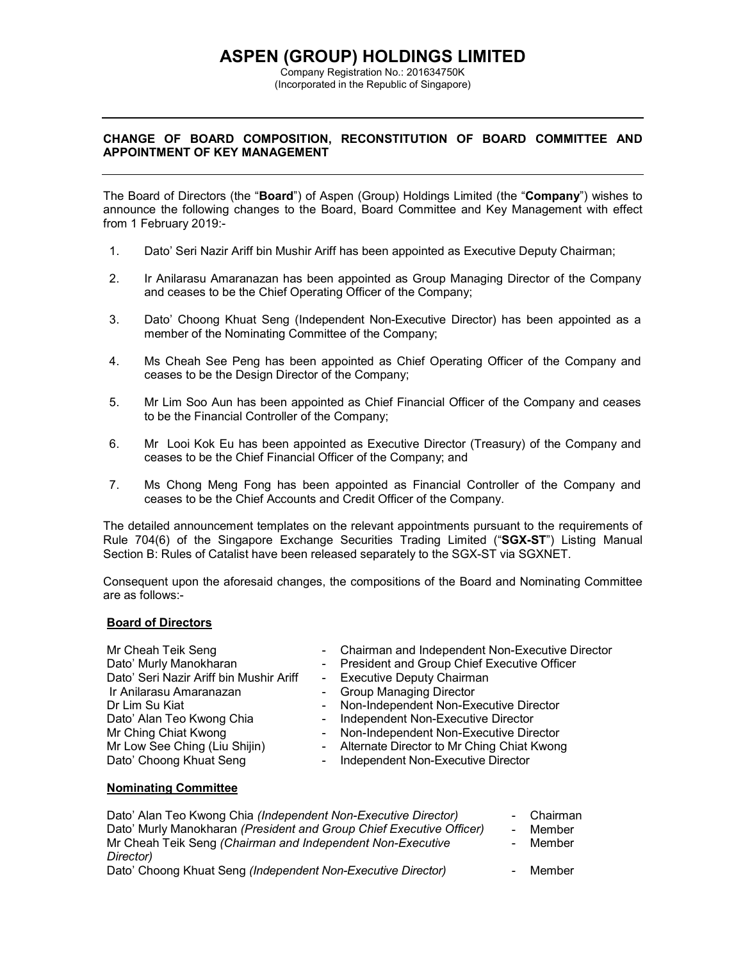# **ASPEN (GROUP) HOLDINGS LIMITED**

Company Registration No.: 201634750K (Incorporated in the Republic of Singapore)

## **CHANGE OF BOARD COMPOSITION, RECONSTITUTION OF BOARD COMMITTEE AND APPOINTMENT OF KEY MANAGEMENT**

The Board of Directors (the "**Board**") of Aspen (Group) Holdings Limited (the "**Company**") wishes to announce the following changes to the Board, Board Committee and Key Management with effect from 1 February 2019:-

- 1. Dato' Seri Nazir Ariff bin Mushir Ariff has been appointed as Executive Deputy Chairman;
- 2. Ir Anilarasu Amaranazan has been appointed as Group Managing Director of the Company and ceases to be the Chief Operating Officer of the Company;
- 3. Dato' Choong Khuat Seng (Independent Non-Executive Director) has been appointed as a member of the Nominating Committee of the Company;
- 4. Ms Cheah See Peng has been appointed as Chief Operating Officer of the Company and ceases to be the Design Director of the Company;
- 5. Mr Lim Soo Aun has been appointed as Chief Financial Officer of the Company and ceases to be the Financial Controller of the Company;
- 6. Mr Looi Kok Eu has been appointed as Executive Director (Treasury) of the Company and ceases to be the Chief Financial Officer of the Company; and
- 7. Ms Chong Meng Fong has been appointed as Financial Controller of the Company and ceases to be the Chief Accounts and Credit Officer of the Company.

The detailed announcement templates on the relevant appointments pursuant to the requirements of Rule 704(6) of the Singapore Exchange Securities Trading Limited ("**SGX-ST**") Listing Manual Section B: Rules of Catalist have been released separately to the SGX-ST via SGXNET.

Consequent upon the aforesaid changes, the compositions of the Board and Nominating Committee are as follows:-

#### **Board of Directors**

| Mr Cheah Teik Seng                      | - Chairman and Independent Non-Executive Director |
|-----------------------------------------|---------------------------------------------------|
| Dato' Murly Manokharan                  | - President and Group Chief Executive Officer     |
| Dato' Seri Nazir Ariff bin Mushir Ariff | - Executive Deputy Chairman                       |
| Ir Anilarasu Amaranazan                 | - Group Managing Director                         |
| Dr Lim Su Kiat                          | - Non-Independent Non-Executive Director          |
| Dato' Alan Teo Kwong Chia               | - Independent Non-Executive Director              |
| Mr Ching Chiat Kwong                    | - Non-Independent Non-Executive Director          |
| Mr Low See Ching (Liu Shijin)           | - Alternate Director to Mr Ching Chiat Kwong      |
| Dato' Choong Khuat Seng                 | - Independent Non-Executive Director              |

### **Nominating Committee**

| Dato' Alan Teo Kwong Chia (Independent Non-Executive Director)       | - Chairman |
|----------------------------------------------------------------------|------------|
| Dato' Murly Manokharan (President and Group Chief Executive Officer) | - Member   |
| Mr Cheah Teik Seng (Chairman and Independent Non-Executive           | - Member   |
| Director)                                                            |            |
| Dato' Choong Khuat Seng (Independent Non-Executive Director)         | - Member   |